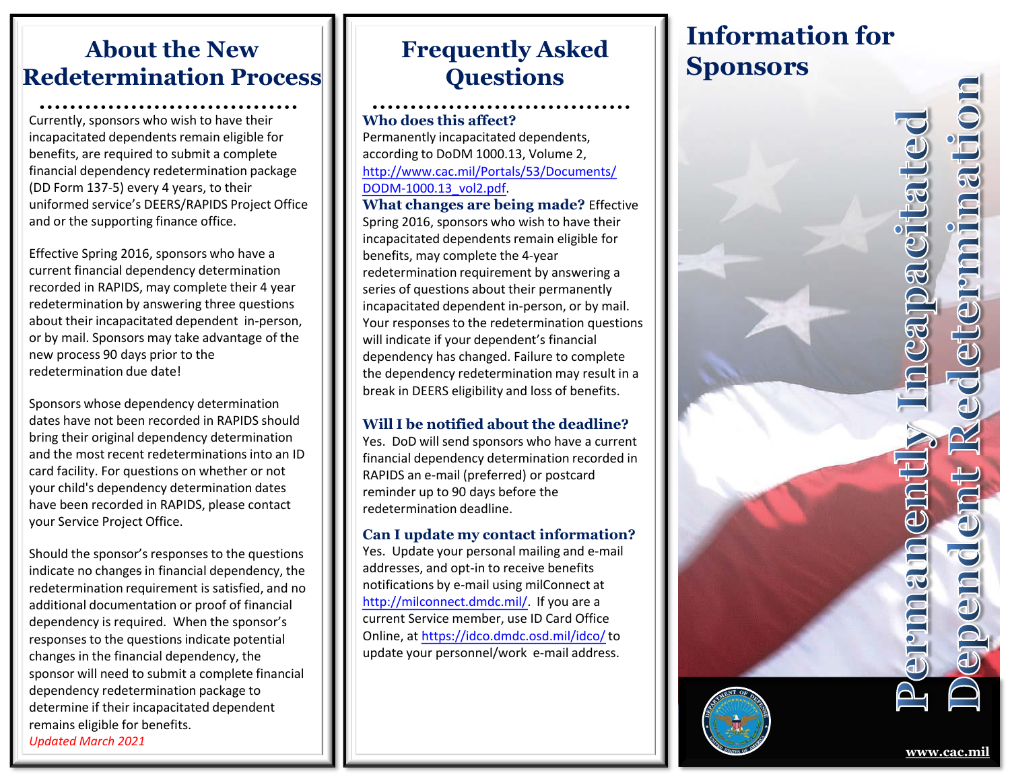# **About the New Redetermination Process**

Currently, sponsors who wish to have their incapacitated dependents remain eligible for benefits, are required to submit a complete financial dependency redetermination package (DD Form 137-5) every 4 years, to their uniformed service's DEERS/RAPIDS Project Office and or the supporting finance office.

Effective Spring 2016, sponsors who have a current financial dependency determination recorded in RAPIDS, may complete their 4 year redetermination by answering three questions about their incapacitated dependent in-person, or by mail. Sponsors may take advantage of the new process 90 days prior to the redetermination due date!

Sponsors whose dependency determination dates have not been recorded in RAPIDS should bring their original dependency determination and the most recent redeterminations into an ID card facility. For questions on whether or not your child's dependency determination dates have been recorded in RAPIDS, please contact your Service Project Office.

Should the sponsor's responses to the questions indicate no changes in financial dependency, the redetermination requirement is satisfied, and no additional documentation or proof of financial dependency is required. When the sponsor's responses to the questions indicate potential changes in the financial dependency, the sponsor will need to submit a complete financial dependency redetermination package to determine if their incapacitated dependent remains eligible for benefits. *Updated March 2021*

# **Frequently Asked Questions**

#### **Who does this affect?**

Permanently incapacitated dependents, according to DoDM 1000.13, Volume 2, [http://www.cac.mil/Portals/53/Documents/](http://www.cac.mil/Portals/53/Documents/DODM-1000.13_vol2.pdf) DODM-1000.13\_vol2.pdf.

**What changes are being made?** Effective Spring 2016, sponsors who wish to have their incapacitated dependents remain eligible for benefits, may complete the 4-year redetermination requirement by answering a series of questions about their permanently incapacitated dependent in-person, or by mail. Your responses to the redetermination questions will indicate if your dependent's financial dependency has changed. Failure to complete the dependency redetermination may result in a break in DEERS eligibility and loss of benefits.

#### **Will I be notified about the deadline?**

Yes. DoD will send sponsors who have a current financial dependency determination recorded in RAPIDS an e-mail (preferred) or postcard reminder up to 90 days before the redetermination deadline.

#### **Can I update my contact information?**

Yes. Update your personal mailing and e-mail addresses, and opt-in to receive benefits notifications by e-mail using milConnect at [http://milconnect.dmdc.mil/.](http://milconnect.dmdc.mil/) If you are a current Service member, use ID Card Office Online, at <https://idco.dmdc.osd.mil/idco/> to update your personnel/work e-mail address.

# **Information for Sponsors**